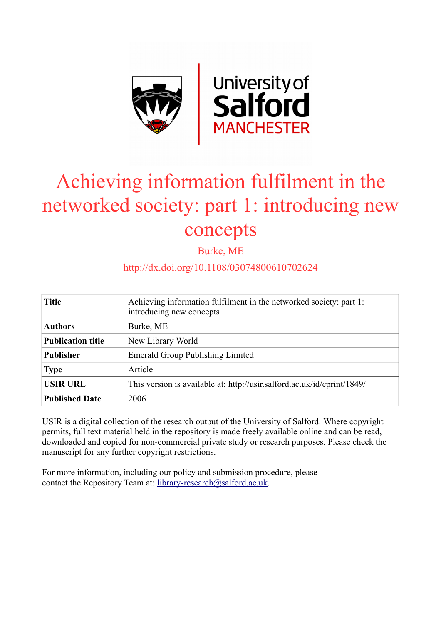

# Achieving information fulfilment in the networked society: part 1: introducing new concepts

Burke, ME

# http://dx.doi.org/10.1108/03074800610702624

| <b>Title</b>             | Achieving information fulfilment in the networked society: part 1:<br>introducing new concepts |
|--------------------------|------------------------------------------------------------------------------------------------|
| <b>Authors</b>           | Burke, ME                                                                                      |
| <b>Publication title</b> | New Library World                                                                              |
| <b>Publisher</b>         | <b>Emerald Group Publishing Limited</b>                                                        |
| <b>Type</b>              | Article                                                                                        |
| <b>USIR URL</b>          | This version is available at: http://usir.salford.ac.uk/id/eprint/1849/                        |
| <b>Published Date</b>    | 2006                                                                                           |

USIR is a digital collection of the research output of the University of Salford. Where copyright permits, full text material held in the repository is made freely available online and can be read, downloaded and copied for non-commercial private study or research purposes. Please check the manuscript for any further copyright restrictions.

For more information, including our policy and submission procedure, please contact the Repository Team at: [library-research@salford.ac.uk.](mailto:library-research@salford.ac.uk)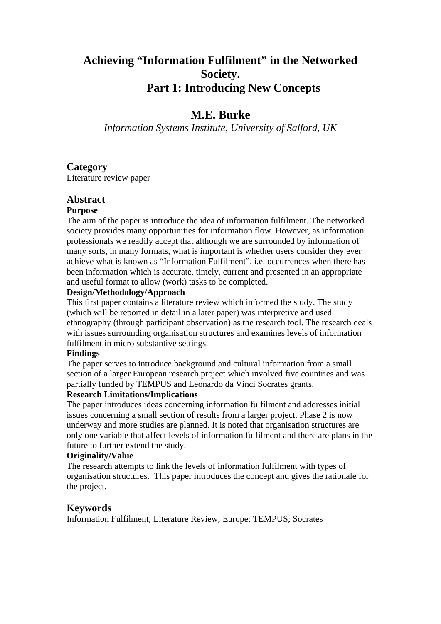# **Achieving "Information Fulfilment" in the Networked Society. Part 1: Introducing New Concepts**

# **M.E. Burke**

*Information Systems Institute, University of Salford, UK* 

## **Category**

Literature review paper

## **Abstract**

## **Purpose**

The aim of the paper is introduce the idea of information fulfilment. The networked society provides many opportunities for information flow. However, as information professionals we readily accept that although we are surrounded by information of many sorts, in many formats, what is important is whether users consider they ever achieve what is known as "Information Fulfilment". i.e. occurrences when there has been information which is accurate, timely, current and presented in an appropriate and useful format to allow (work) tasks to be completed.

## **Design/Methodology/Approach**

This first paper contains a literature review which informed the study. The study (which will be reported in detail in a later paper) was interpretive and used ethnography (through participant observation) as the research tool. The research deals with issues surrounding organisation structures and examines levels of information fulfilment in micro substantive settings.

## **Findings**

The paper serves to introduce background and cultural information from a small section of a larger European research project which involved five countries and was partially funded by TEMPUS and Leonardo da Vinci Socrates grants.

## **Research Limitations/Implications**

The paper introduces ideas concerning information fulfilment and addresses initial issues concerning a small section of results from a larger project. Phase 2 is now underway and more studies are planned. It is noted that organisation structures are only one variable that affect levels of information fulfilment and there are plans in the future to further extend the study.

## **Originality/Value**

The research attempts to link the levels of information fulfilment with types of organisation structures. This paper introduces the concept and gives the rationale for the project.

## **Keywords**

Information Fulfilment; Literature Review; Europe; TEMPUS; Socrates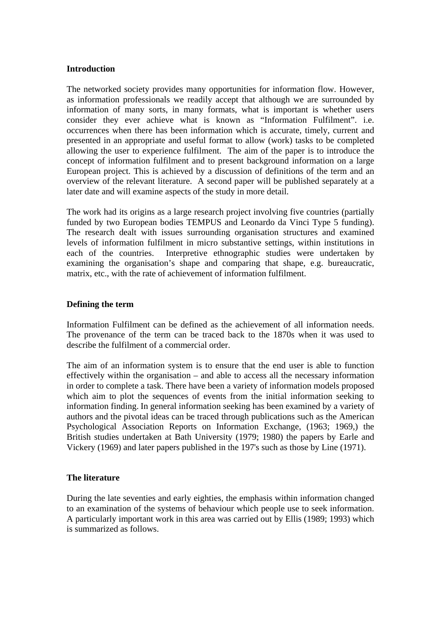#### **Introduction**

The networked society provides many opportunities for information flow. However, as information professionals we readily accept that although we are surrounded by information of many sorts, in many formats, what is important is whether users consider they ever achieve what is known as "Information Fulfilment". i.e. occurrences when there has been information which is accurate, timely, current and presented in an appropriate and useful format to allow (work) tasks to be completed allowing the user to experience fulfilment. The aim of the paper is to introduce the concept of information fulfilment and to present background information on a large European project. This is achieved by a discussion of definitions of the term and an overview of the relevant literature. A second paper will be published separately at a later date and will examine aspects of the study in more detail.

The work had its origins as a large research project involving five countries (partially funded by two European bodies TEMPUS and Leonardo da Vinci Type 5 funding). The research dealt with issues surrounding organisation structures and examined levels of information fulfilment in micro substantive settings, within institutions in each of the countries. Interpretive ethnographic studies were undertaken by examining the organisation's shape and comparing that shape, e.g. bureaucratic, matrix, etc., with the rate of achievement of information fulfilment.

#### **Defining the term**

Information Fulfilment can be defined as the achievement of all information needs. The provenance of the term can be traced back to the 1870s when it was used to describe the fulfilment of a commercial order.

The aim of an information system is to ensure that the end user is able to function effectively within the organisation – and able to access all the necessary information in order to complete a task. There have been a variety of information models proposed which aim to plot the sequences of events from the initial information seeking to information finding. In general information seeking has been examined by a variety of authors and the pivotal ideas can be traced through publications such as the American Psychological Association Reports on Information Exchange, (1963; 1969,) the British studies undertaken at Bath University (1979; 1980) the papers by Earle and Vickery (1969) and later papers published in the 197's such as those by Line (1971).

#### **The literature**

During the late seventies and early eighties, the emphasis within information changed to an examination of the systems of behaviour which people use to seek information. A particularly important work in this area was carried out by Ellis (1989; 1993) which is summarized as follows.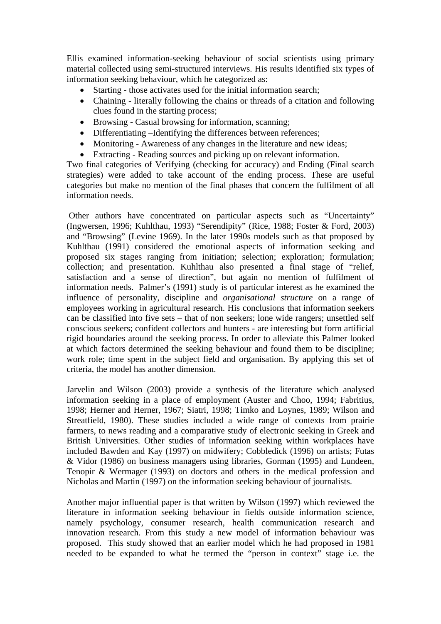Ellis examined information-seeking behaviour of social scientists using primary material collected using semi-structured interviews. His results identified six types of information seeking behaviour, which he categorized as:

- Starting those activates used for the initial information search;
- Chaining literally following the chains or threads of a citation and following clues found in the starting process;
- Browsing Casual browsing for information, scanning;
- Differentiating –Identifying the differences between references;
- Monitoring Awareness of any changes in the literature and new ideas;
- Extracting Reading sources and picking up on relevant information.

Two final categories of Verifying (checking for accuracy) and Ending (Final search strategies) were added to take account of the ending process. These are useful categories but make no mention of the final phases that concern the fulfilment of all information needs.

 Other authors have concentrated on particular aspects such as "Uncertainty" (Ingwersen, 1996; Kuhlthau, 1993) "Serendipity" (Rice, 1988; Foster & Ford, 2003) and "Browsing" (Levine 1969). In the later 1990s models such as that proposed by Kuhlthau (1991) considered the emotional aspects of information seeking and proposed six stages ranging from initiation; selection; exploration; formulation; collection; and presentation. Kuhlthau also presented a final stage of "relief, satisfaction and a sense of direction", but again no mention of fulfilment of information needs. Palmer's (1991) study is of particular interest as he examined the influence of personality, discipline and *organisational structure* on a range of employees working in agricultural research. His conclusions that information seekers can be classified into five sets – that of non seekers; lone wide rangers; unsettled self conscious seekers; confident collectors and hunters - are interesting but form artificial rigid boundaries around the seeking process. In order to alleviate this Palmer looked at which factors determined the seeking behaviour and found them to be discipline; work role; time spent in the subject field and organisation. By applying this set of criteria, the model has another dimension.

Jarvelin and Wilson (2003) provide a synthesis of the literature which analysed information seeking in a place of employment (Auster and Choo, 1994; Fabritius, 1998; Herner and Herner, 1967; Siatri, 1998; Timko and Loynes, 1989; Wilson and Streatfield, 1980). These studies included a wide range of contexts from prairie farmers, to news reading and a comparative study of electronic seeking in Greek and British Universities. Other studies of information seeking within workplaces have included Bawden and Kay (1997) on midwifery; Cobbledick (1996) on artists; Futas & Vidor (1986) on business managers using libraries, Gorman (1995) and Lundeen, Tenopir & Wermager (1993) on doctors and others in the medical profession and Nicholas and Martin (1997) on the information seeking behaviour of journalists.

Another major influential paper is that written by Wilson (1997) which reviewed the literature in information seeking behaviour in fields outside information science, namely psychology, consumer research, health communication research and innovation research. From this study a new model of information behaviour was proposed. This study showed that an earlier model which he had proposed in 1981 needed to be expanded to what he termed the "person in context" stage i.e. the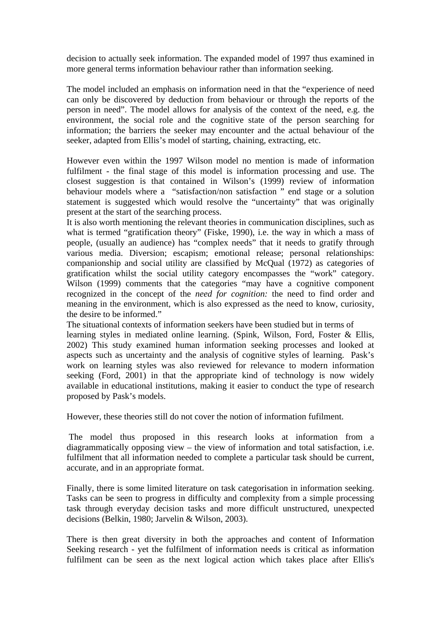decision to actually seek information. The expanded model of 1997 thus examined in more general terms information behaviour rather than information seeking.

The model included an emphasis on information need in that the "experience of need can only be discovered by deduction from behaviour or through the reports of the person in need". The model allows for analysis of the context of the need, e.g. the environment, the social role and the cognitive state of the person searching for information; the barriers the seeker may encounter and the actual behaviour of the seeker, adapted from Ellis's model of starting, chaining, extracting, etc.

However even within the 1997 Wilson model no mention is made of information fulfilment - the final stage of this model is information processing and use. The closest suggestion is that contained in Wilson's (1999) review of information behaviour models where a "satisfaction/non satisfaction " end stage or a solution statement is suggested which would resolve the "uncertainty" that was originally present at the start of the searching process.

It is also worth mentioning the relevant theories in communication disciplines, such as what is termed "gratification theory" (Fiske, 1990), i.e. the way in which a mass of people, (usually an audience) has "complex needs" that it needs to gratify through various media. Diversion; escapism; emotional release; personal relationships: companionship and social utility are classified by McQual (1972) as categories of gratification whilst the social utility category encompasses the "work" category. Wilson (1999) comments that the categories "may have a cognitive component recognized in the concept of the *need for cognition:* the need to find order and meaning in the environment, which is also expressed as the need to know, curiosity, the desire to be informed."

The situational contexts of information seekers have been studied but in terms of learning styles in mediated online learning. (Spink, Wilson, Ford, Foster & Ellis, 2002) This study examined human information seeking processes and looked at aspects such as uncertainty and the analysis of cognitive styles of learning. Pask's work on learning styles was also reviewed for relevance to modern information seeking (Ford, 2001) in that the appropriate kind of technology is now widely available in educational institutions, making it easier to conduct the type of research proposed by Pask's models.

However, these theories still do not cover the notion of information fufilment.

 The model thus proposed in this research looks at information from a diagrammatically opposing view – the view of information and total satisfaction, i.e. fulfilment that all information needed to complete a particular task should be current, accurate, and in an appropriate format.

Finally, there is some limited literature on task categorisation in information seeking. Tasks can be seen to progress in difficulty and complexity from a simple processing task through everyday decision tasks and more difficult unstructured, unexpected decisions (Belkin, 1980; Jarvelin & Wilson, 2003).

There is then great diversity in both the approaches and content of Information Seeking research - yet the fulfilment of information needs is critical as information fulfilment can be seen as the next logical action which takes place after Ellis's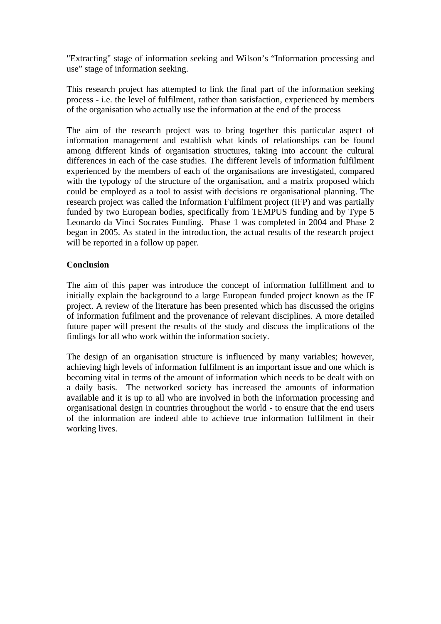"Extracting" stage of information seeking and Wilson's "Information processing and use" stage of information seeking.

This research project has attempted to link the final part of the information seeking process - i.e. the level of fulfilment, rather than satisfaction, experienced by members of the organisation who actually use the information at the end of the process

The aim of the research project was to bring together this particular aspect of information management and establish what kinds of relationships can be found among different kinds of organisation structures, taking into account the cultural differences in each of the case studies. The different levels of information fulfilment experienced by the members of each of the organisations are investigated, compared with the typology of the structure of the organisation, and a matrix proposed which could be employed as a tool to assist with decisions re organisational planning. The research project was called the Information Fulfilment project (IFP) and was partially funded by two European bodies, specifically from TEMPUS funding and by Type 5 Leonardo da Vinci Socrates Funding. Phase 1 was completed in 2004 and Phase 2 began in 2005. As stated in the introduction, the actual results of the research project will be reported in a follow up paper.

#### **Conclusion**

The aim of this paper was introduce the concept of information fulfillment and to initially explain the background to a large European funded project known as the IF project. A review of the literature has been presented which has discussed the origins of information fufilment and the provenance of relevant disciplines. A more detailed future paper will present the results of the study and discuss the implications of the findings for all who work within the information society.

The design of an organisation structure is influenced by many variables; however, achieving high levels of information fulfilment is an important issue and one which is becoming vital in terms of the amount of information which needs to be dealt with on a daily basis. The networked society has increased the amounts of information available and it is up to all who are involved in both the information processing and organisational design in countries throughout the world - to ensure that the end users of the information are indeed able to achieve true information fulfilment in their working lives.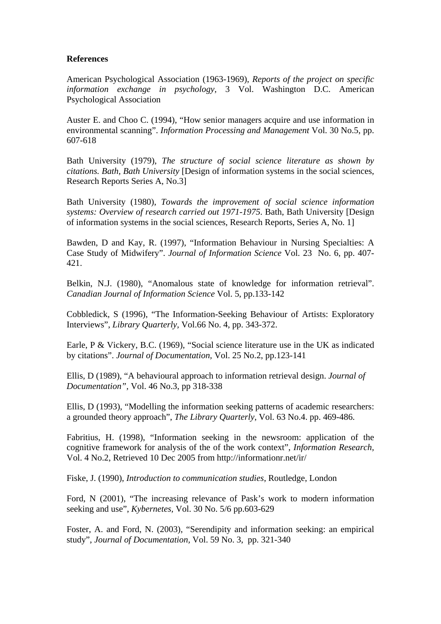#### **References**

American Psychological Association (1963-1969), *Reports of the project on specific information exchange in psychology,* 3 Vol. Washington D.C. American Psychological Association

Auster E. and Choo C. (1994), "How senior managers acquire and use information in environmental scanning". *Information Processing and Management* Vol. 30 No.5, pp. 607-618

Bath University (1979), *The structure of social science literature as shown by citations. Bath, Bath University* [Design of information systems in the social sciences, Research Reports Series A, No.3]

Bath University (1980), *Towards the improvement of social science information systems: Overview of research carried out 1971-1975*. Bath, Bath University [Design of information systems in the social sciences, Research Reports, Series A, No. 1]

Bawden, D and Kay, R. (1997), "Information Behaviour in Nursing Specialties: A Case Study of Midwifery". *Journal of Information Science* Vol. 23 No. 6, pp. 407- 421.

Belkin, N.J. (1980), "Anomalous state of knowledge for information retrieval". *Canadian Journal of Information Science* Vol. 5, pp.133-142

Cobbledick, S (1996), "The Information-Seeking Behaviour of Artists: Exploratory Interviews", *Library Quarterly,* Vol.66 No. 4, pp. 343-372.

Earle, P & Vickery, B.C. (1969), "Social science literature use in the UK as indicated by citations". *Journal of Documentation,* Vol. 25 No.2, pp.123-141

Ellis, D (1989), "A behavioural approach to information retrieval design. *Journal of Documentation",* Vol. 46 No.3, pp 318-338

Ellis, D (1993), "Modelling the information seeking patterns of academic researchers: a grounded theory approach", *The Library Quarterly*, Vol. 63 No.4. pp. 469-486.

Fabritius, H. (1998), "Information seeking in the newsroom: application of the cognitive framework for analysis of the of the work context", *Information Research,* Vol. 4 No.2, Retrieved 10 Dec 2005 from http://informationr.net/ir/

Fiske, J. (1990), *Introduction to communication studies*, Routledge, London

Ford, N (2001), "The increasing relevance of Pask's work to modern information seeking and use", *Kybernetes,* Vol. 30 No. 5/6 pp.603-629

Foster, A. and Ford, N. (2003), "Serendipity and information seeking: an empirical study", *Journal of Documentation,* Vol. 59 No. 3, pp. 321-340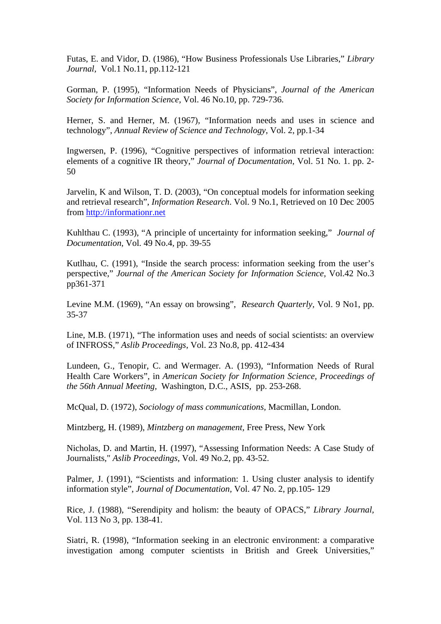Futas, E. and Vidor, D. (1986), "How Business Professionals Use Libraries," *Library Journal,* Vol*.*1 No.11, pp.112-121

Gorman, P. (1995), "Information Needs of Physicians", *Journal of the American Society for Information Science,* Vol. 46 No.10, pp. 729-736.

Herner, S. and Herner, M. (1967), "Information needs and uses in science and technology", *Annual Review of Science and Technology*, Vol. 2, pp.1-34

Ingwersen, P. (1996), "Cognitive perspectives of information retrieval interaction: elements of a cognitive IR theory," *Journal of Documentation,* Vol. 51 No. 1. pp. 2- 50

Jarvelin, K and Wilson, T. D. (2003), "On conceptual models for information seeking and retrieval research", *Information Research*. Vol. 9 No.1, Retrieved on 10 Dec 2005 from [http://informationr.net](http://informationr.net/)

Kuhlthau C. (1993), "A principle of uncertainty for information seeking," *Journal of Documentation,* Vol. 49 No.4, pp. 39-55

Kutlhau, C. (1991), "Inside the search process: information seeking from the user's perspective," *Journal of the American Society for Information Science,* Vol.42 No.3 pp361-371

Levine M.M. (1969), "An essay on browsing", *Research Quarterly,* Vol. 9 No1, pp. 35-37

Line, M.B. (1971), "The information uses and needs of social scientists: an overview of INFROSS," *Aslib Proceedings*, Vol. 23 No.8, pp. 412-434

Lundeen, G., Tenopir, C. and Wermager. A. (1993), "Information Needs of Rural Health Care Workers", in *American Society for Information Science, Proceedings of the 56th Annual Meeting,* Washington, D.C., ASIS, pp. 253-268.

McQual, D. (1972), *Sociology of mass communications,* Macmillan, London.

Mintzberg, H. (1989), *Mintzberg on management,* Free Press, New York

Nicholas, D. and Martin, H. (1997), "Assessing Information Needs: A Case Study of Journalists," *Aslib Proceedings,* Vol. 49 No.2, pp. 43-52.

Palmer, J. (1991), "Scientists and information: 1. Using cluster analysis to identify information style", *Journal of Documentation,* Vol. 47 No. 2, pp.105- 129

Rice, J. (1988), "Serendipity and holism: the beauty of OPACS," *Library Journal,* Vol. 113 No 3, pp. 138-41.

Siatri, R. (1998), "Information seeking in an electronic environment: a comparative investigation among computer scientists in British and Greek Universities,"